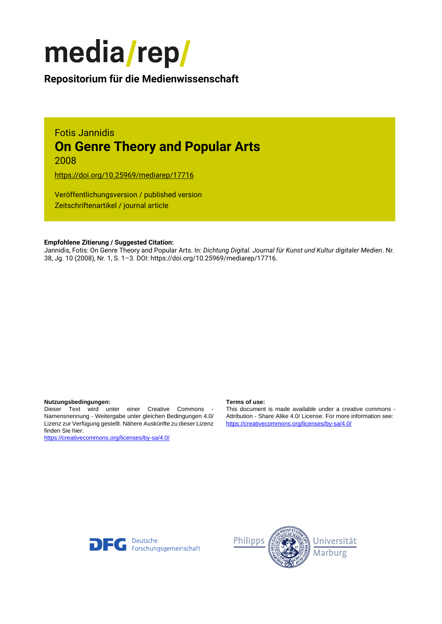

# **Repositorium für die [Medienwissenschaft](https://mediarep.org)**

## Fotis Jannidis **On Genre Theory and Popular Arts** 2008

<https://doi.org/10.25969/mediarep/17716>

Veröffentlichungsversion / published version Zeitschriftenartikel / journal article

## **Empfohlene Zitierung / Suggested Citation:**

Jannidis, Fotis: On Genre Theory and Popular Arts. In: *Dichtung Digital. Journal für Kunst und Kultur digitaler Medien*. Nr. 38, Jg. 10 (2008), Nr. 1, S. 1–3. DOI: https://doi.org/10.25969/mediarep/17716.

### **Nutzungsbedingungen: Terms of use:**

Dieser Text wird unter einer Creative Commons - Namensnennung - Weitergabe unter gleichen Bedingungen 4.0/ Lizenz zur Verfügung gestellt. Nähere Auskünfte zu dieser Lizenz finden Sie hier:

<https://creativecommons.org/licenses/by-sa/4.0/>

This document is made available under a creative commons - Attribution - Share Alike 4.0/ License. For more information see: <https://creativecommons.org/licenses/by-sa/4.0/>



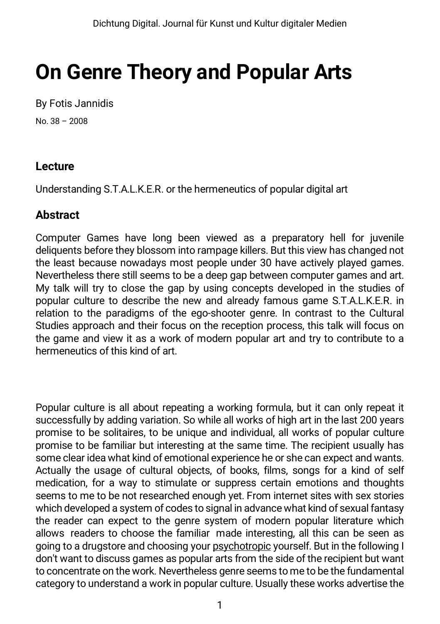# **On Genre Theory and Popular Arts**

By Fotis Jannidis No. 38 – 2008

## **Lecture**

Understanding S.T.A.L.K.E.R. or the hermeneutics of popular digital art

## **Abstract**

Computer Games have long been viewed as a preparatory hell for juvenile deliquents before they blossom into rampage killers. But this view has changed not the least because nowadays most people under 30 have actively played games. Nevertheless there still seems to be a deep gap between computer games and art. My talk will try to close the gap by using concepts developed in the studies of popular culture to describe the new and already famous game S.T.A.L.K.E.R. in relation to the paradigms of the ego-shooter genre. In contrast to the Cultural Studies approach and their focus on the reception process, this talk will focus on the game and view it as a work of modern popular art and try to contribute to a hermeneutics of this kind of art.

Popular culture is all about repeating a working formula, but it can only repeat it successfully by adding variation. So while all works of high art in the last 200 years promise to be solitaires, to be unique and individual, all works of popular culture promise to be familiar but interesting at the same time. The recipient usually has some clear idea what kind of emotional experience he or she can expect and wants. Actually the usage of cultural objects, of books, films, songs for a kind of self medication, for a way to stimulate or suppress certain emotions and thoughts seems to me to be not researched enough yet. From internet sites with sex stories which developed a system of codes to signal in advance what kind of sexual fantasy the reader can expect to the genre system of modern popular literature which allows readers to choose the familiar made interesting, all this can be seen as going to a drugstore and choosing your [psychotropic](http://dict.leo.org/ende?lp=ende&p=eL4jU.&search=psychotropics) yourself. But in the following I don't want to discuss games as popular arts from the side of the recipient but want to concentrate on the work. Nevertheless genre seems to me to be the fundamental category to understand a work in popular culture. Usually these works advertise the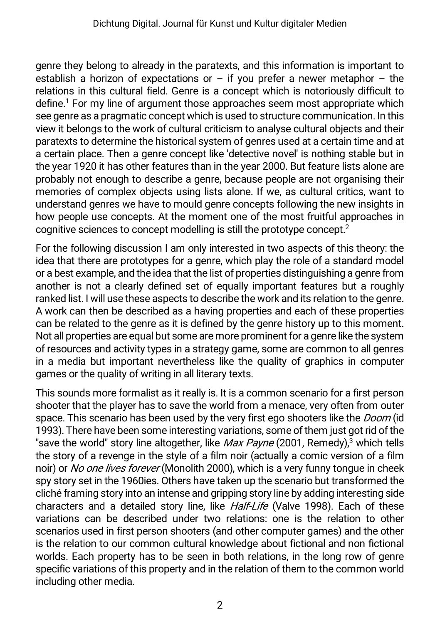genre they belong to already in the paratexts, and this information is important to establish a horizon of expectations or – if you prefer a newer metaphor – the relations in this cultural field. Genre is a concept which is notoriously difficult to define.1 For my line of argument those approaches seem most appropriate which see genre as a pragmatic concept which is used to structure communication. In this view it belongs to the work of cultural criticism to analyse cultural objects and their paratexts to determine the historical system of genres used at a certain time and at a certain place. Then a genre concept like 'detective novel' is nothing stable but in the year 1920 it has other features than in the year 2000. But feature lists alone are probably not enough to describe a genre, because people are not organising their memories of complex objects using lists alone. If we, as cultural critics, want to understand genres we have to mould genre concepts following the new insights in how people use concepts. At the moment one of the most fruitful approaches in cognitive sciences to concept modelling is still the prototype concept.2

For the following discussion I am only interested in two aspects of this theory: the idea that there are prototypes for a genre, which play the role of a standard model or a best example, and the idea that the list of properties distinguishing a genre from another is not a clearly defined set of equally important features but a roughly ranked list. I will use these aspects to describe the work and its relation to the genre. A work can then be described as a having properties and each of these properties can be related to the genre as it is defined by the genre history up to this moment. Not all properties are equal but some are more prominent for a genre like the system of resources and activity types in a strategy game, some are common to all genres in a media but important nevertheless like the quality of graphics in computer games or the quality of writing in all literary texts.

This sounds more formalist as it really is. It is a common scenario for a first person shooter that the player has to save the world from a menace, very often from outer space. This scenario has been used by the very first ego shooters like the *Doom* (id 1993). There have been some interesting variations, some of them just got rid of the "save the world" story line altogether, like *Max Payne* (2001, Remedy), <sup>3</sup> which tells the story of a revenge in the style of a film noir (actually a comic version of a film noir) or No one lives forever (Monolith 2000), which is a very funny tongue in cheek spy story set in the 1960ies. Others have taken up the scenario but transformed the cliché framing story into an intense and gripping story line by adding interesting side characters and a detailed story line, like *Half-Life* (Valve 1998). Each of these variations can be described under two relations: one is the relation to other scenarios used in first person shooters (and other computer games) and the other is the relation to our common cultural knowledge about fictional and non fictional worlds. Each property has to be seen in both relations, in the long row of genre specific variations of this property and in the relation of them to the common world including other media.